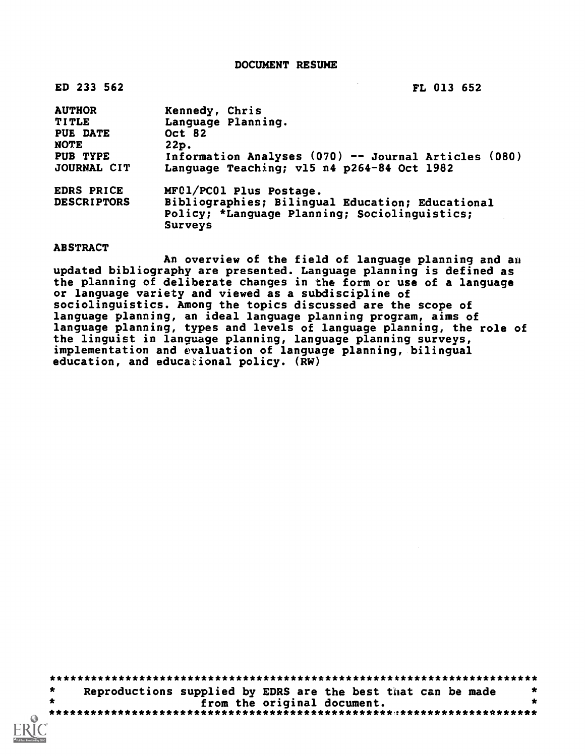DOCUMENT RESUME

| ED 233 562                                                                                 | FL 013 652                                                                                                                                                   |
|--------------------------------------------------------------------------------------------|--------------------------------------------------------------------------------------------------------------------------------------------------------------|
| <b>AUTHOR</b><br><b>TITLE</b><br><b>PUE DATE</b><br><b>NOTE</b><br>PUB TYPE<br>JOURNAL CIT | Kennedy, Chris<br>Language Planning.<br>Oct 82<br>22p.<br>Information Analyses (070) -- Journal Articles (080)<br>Language Teaching; v15 n4 p264-84 Oct 1982 |
| EDRS PRICE<br><b>DESCRIPTORS</b>                                                           | MFC1/PC01 Plus Postage.<br>Bibliographies; Bilingual Education; Educational<br>Policy; *Language Planning; Sociolinguistics;<br>Surveys                      |

ABSTRACT

An overview of the field of language planning and an updated bibliography are presented. Language planning is defined as the planning of deliberate changes in the form or use of a language or language variety and viewed as a subdiscipline of sociolinguistics. Among the topics discussed are the scope of language planning, an ideal language planning program, aims of language planning, types and levels of language planning, the role of the linguist in language planning, language planning surveys, implementation and evaluation of language planning, bilingual education, and educational policy.  $(RW)$ 

\*\*\*\*\*\*\*\*\*\*\*\*\*\*\*\*\*\*\*\*\*\*\*\*\*\*\*\*\*\*\*\*\*\*\*\*\*\*\*\*\*\*\*\*\*\*\*\*\*\*\*\*\*\*\*\*\*\*\*\*\*\*\*\*\*\*\*\*\*\*\* Reproductions supplied by EDRS are the best that can be made  $*$ <br>from the original document.  $\pmb{\ast}$ from the original document. \*\*\*\*\*\*\*\*\*\*\*\*\*\*\*\*\*\*\*\*\*\*\*\*\*\*\*\*\*\*\*\*\*\*\*\*\*\*\*\*\*\*\*\*\*\*\*\*\*\*T\*\*\*\*\*\*\*\*\*\*\*\*\*\*\*\*\*\*\*\*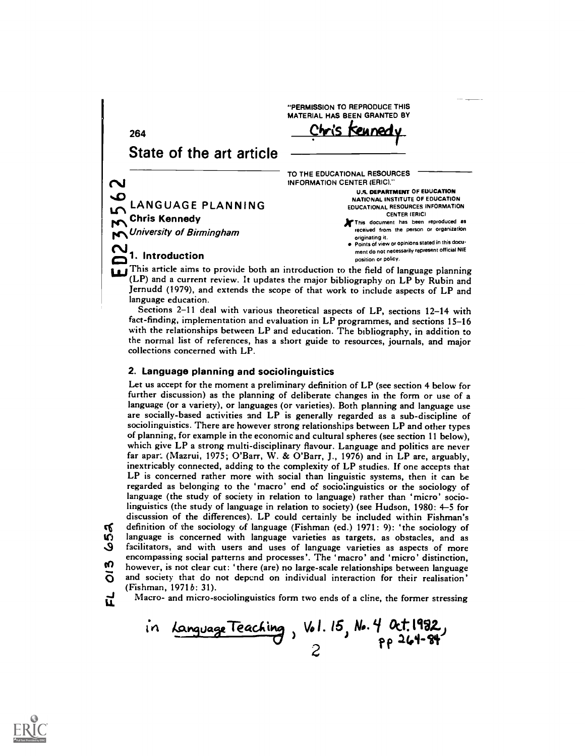264 State of the art article LANGUAGE PLANNING Chris Kennedy **No. University of Birmingham** This article aims to provide both an introduction to the field of language planning<br>
This article aims to provide both an introduction to the field of language planning (LP) and a current review. It updates the major bibliography on LP by Rubin and Jernudd (1979), and extends the scope of that work to include aspects of LP and language education. "PERMISSION TO REPRODUCE THIS MATERIAL HAS BEEN GRANTED BY **Cuned** TO THE EDUCATIONAL RESOURCES INFORMATION CENTER (ERIC)." U.S. DEPARTMENT OF EDUCATION NATIONAL INSTITUTE OF EDUCATION EDUCATIONAL RESOURCES INFORMATION CENTER (ERIC) This document has been reproduced as received from the person or organization originating it. Points Of view or opinions stated in this document do not necessarily represent official NIE position or policy.

Sections 2-11 deal with various theoretical aspects of LP, sections 12-14 with fact-finding, implementation and evaluation in LP programmes, and sections 15-16 with the relationships between LP and education. The bibliography, in addition to the normal list of references, has a short guide to resources, journals, and major collections concerned with LP.

# 2. Language planning and sociolinguistics

Let us accept for the moment a preliminary definition of LP (see section 4 below for further discussion) as the planning of deliberate changes in the form or use of a language (or a variety), or languages (or varieties). Both planning and language use are socially-based activities and LP is generally regarded as a sub-discipline of sociolinguistics. There are however strong relationships between LP and other types of planning, for example in the economic and cultural spheres (see section 11 below), which give LP a strong multi-disciplinary flavour. Language and politics are never far apar. (Mazrui, 1975; O'Barr, W. & O'Barr, J., 1976) and in LP are, arguably, inextricably connected, adding to the complexity of LP studies. If one accepts that LP is concerned rather more with social than linguistic systems, then it can be regarded as belonging to the 'macro' end of socio:inguistics or the sociology of language (the study of society in relation to language) rather than 'micro' sociolinguistics (the study of language in relation to society) (see Hudson, 1980: 4-5 for discussion of the differences). LP could certainly be included within Fishman's **IV** definition of the sociology of language (Fishman (ed.) 1971: 9): 'the sociology of  $\mathbf{Q}$  language is concerned with language varieties as targets, as obstacles, and as J facilitators, and with users and uses of language varieties as aspects of more encompassing social patterns and processes'. The 'macro' and 'micro' distinction, however, is not clear cut: 'there (are) no large-scale relationships between language  $\overline{O}$  and society that do not depend on individual interaction for their realisation' (Fishman, 1971b: 31).

က

 $\frac{1}{11}$  Macro- and micro-sociolinguistics form two ends of a cline, the former stressing

in LanguageTeaching, Vol. 15, No. 4 Oct.1982,  $6^{14.34}$ 2

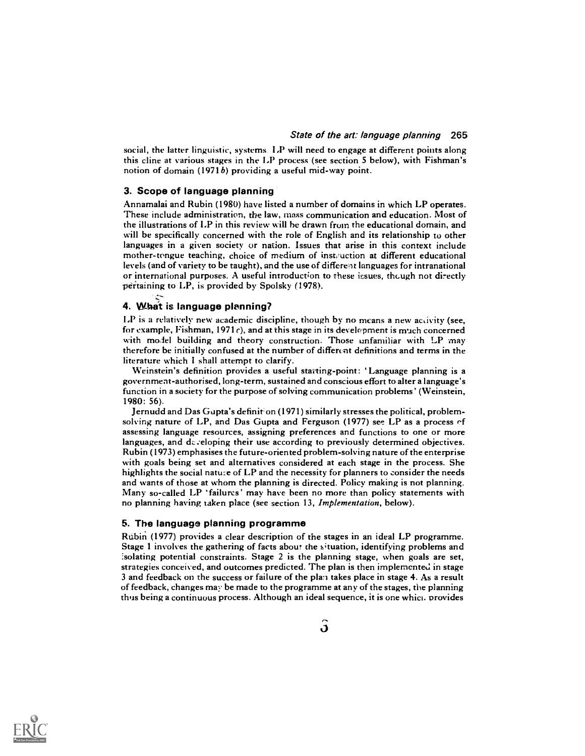social, the latter linguistic, systems. LP will need to engage at different points along this cline at various stages in the LP process (see section 5 below), with Fishman's notion of domain (1971b) providing a useful mid-way point.

# 3. Scope of language planning

Annamalai and Rubin (1980) have listed a number of domains in which LP operates. These include administration, the law, mass communication and education. Most of the illustrations of 1,P in this review will he drawn from the educational domain, and will be specifically concerned with the role of English and its relationship to other languages in a given society or nation. Issues that arise in this context include mother-tongue teaching, choice of medium of instruction at different educational levels (and of variety to be taught), and the use of different languages for intranational or international purposes. A useful introduction to these issues, though not directly pertaining to LP, is provided by Spolsky (1978).

# 4. What is language planning?

LP is a relatively new academic discipline, though by no means a new activity (see, for example, Fishman, 1971 c), and at this stage in its development is much concerned with model building and theory construction. Those unfamiliar with LP may therefore be initially confused at the number of different definitions and terms in the literature which 1 shall attempt to clarify.

Weinstein's definition provides a useful starting-point: 'Language planning is a government-authorised, long-term, sustained and conscious effort to alter a language's function in a society for the purpose of solving communication problems' (Weinstein, 1980: 56).

Jernudd and Das Gupta's definition (1971) similarly stresses the political, problemsolving nature of LP, and Das Gupta and Ferguson (1977) see LP as a process of assessing language resources, assigning preferences and functions to one or more languages, and developing their use according to previously determined objectives. Rubin (1973) emphasises the future-oriented problem-solving nature of the enterprise with goals being set and alternatives considered at each stage in the process. She highlights the social nature of LP and the necessity for planners to consider the needs and wants of those at whom the planning is directed. Policy making is not planning. Many so-called LP 'failures' may have been no more than policy statements with no planning having taken place (see section 13, Implementation, below).

### 5. The language planning programme

Rubin (1977) provides a clear description of the stages in an ideal LP programme. Stage 1 involves the gathering of facts about the situation, identifying problems and :solating potential constraints. Stage 2 is the planning stage, when goals are set, strategies conceived, and outcomes predicted. The plan is then implemented in stage 3 and feedback on the success or failure of the plan takes place in stage 4. As a result of feedback, changes may be made to the programme at any of the stages, the planning thus being a continuous process. Although an ideal sequence, it is one which provides

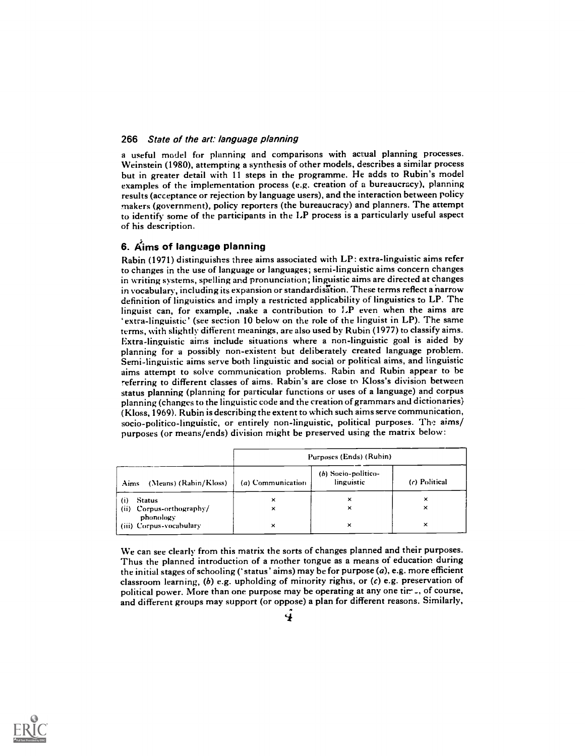a useful model for planning and comparisons with actual planning processes. Weinstein (1980), attempting a synthesis of other models, describes a similar process but in greater detail with 11 steps in the programme. He adds to Rubin's model examples of the implementation process (e.g. creation of a bureaucracy), planning results (acceptance or rejection by language users), and the interaction between policy makers (government), policy reporters (the bureaucracy) and planners. The attempt to identify some of the participants in the LP process is a particularly useful aspect of his description.

# 6. Aims of language planning

Rabin (1971) distinguishes three aims associated with LP: extra-linguistic aims refer to changes in the use of language or languages; semi-linguistic aims concern changes in writing systems, spelling and pronunciation; linguistic aims are directed at changes in vocabulary, including its expansion or standardisation. These terms reflect a narrow definition of linguistics and imply a restricted applicability of linguistics to LP. The linguist can, for example, .nake a contribution to  $LP$  even when the aims are extra- linguistic' (see section 10 below on the role of the linguist in LP). The same terms, with slightly different meanings, are also used by Rubin (1977) to classify aims. Extra-linguistic aims include situations where a non-linguistic goal is aided by planning for a possibly non-existent but deliberately created language problem. Semi-linguistic aims serve both linguistic and social or political aims, and linguistic aims attempt to solve communication problems. Rabin and Rubin appear to be referring to different classes of aims. Rabin's are close to Kloss's division between status planning (planning for particular functions or uses of a language) and corpus planning (changes to the linguistic code and the creation of grammars and dictionaries) (Kloss, 1969). Rubin is describing the extent to which such aims serve communication, socio-politico-linguistic, or entirely non-linguistic, political purposes. The aims/ purposes (or means/ends) division might be preserved using the matrix below:

|                                       | Purposes (Ends) (Rubin) |                                   |               |  |
|---------------------------------------|-------------------------|-----------------------------------|---------------|--|
| (Means) (Rabin/Kloss)<br>Aims         | (a) Communication       | (b) Socio-politico-<br>linguistic | (c) Political |  |
| $\mathbf{(i)}$<br>Status              | ×                       | ×                                 | ×             |  |
| (ii) Corpus-orthography/<br>phonology | ×                       | ×                                 | ×             |  |
| (iii) Corpus-vocabulary               | ×                       | ×                                 | ×             |  |

We can see clearly from this matrix the sorts of changes planned and their purposes. Thus the planned introduction of a mother tongue as a means of education during the initial stages of schooling (` status' aims) may be for purpose (a), e.g. more efficient classroom learning,  $(b)$  e.g. upholding of minority rights, or  $(c)$  e.g. preservation of political power. More than one purpose may be operating at any one tir--, of course, and different groups may support (or oppose) a plan for different reasons. Similarly,

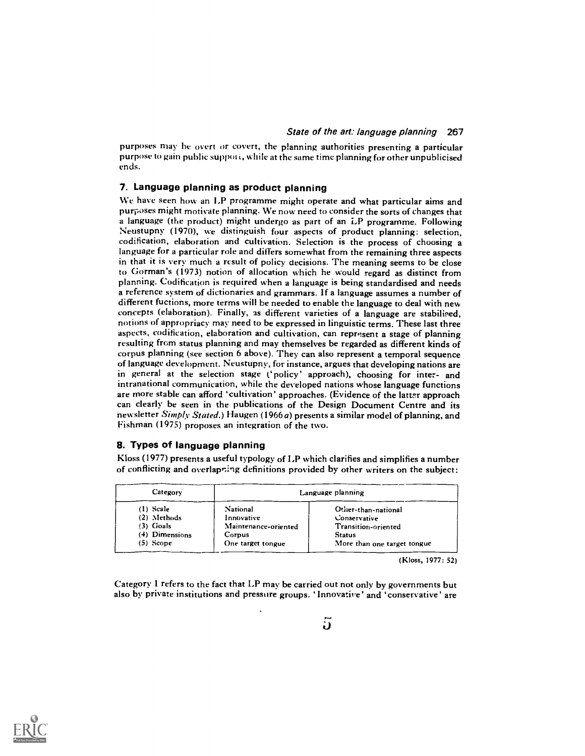purposes may be overt or covert, the planning authorities presenting a particular purpose to gain public suppot i, while at the same time planning for other unpublicised ends.

# 7. Language planning as product planning

We have seen how an LP programme might operate and what particular aims and purposes might motivate planning. We now need to consider the sorts of changes that a language (the product) might undergo as part of an LP programme. Following Neustupny (1970), we distinguish four aspects of product planning: selection, codification, elaboration and cultivation. Selection is the process of choosing <sup>a</sup> language for a particular role and differs somewhat from the remaining three aspects in that it is very much a result of policy decisions. The meaning seems to be close to Gorman's (1973) notion of allocation which he would regard as distinct from planning. Codification is required when a language is being standardised and needs a reference system of dictionaries and grammars. If a language assumes a number of different fuctions, more terms will be needed to enable the language to deal with new concepts (elaboration). Finally, as different varieties of a language are stabilised, notions of appropriacy may need to be expressed in linguistic terms. These last three aspects, codification, elaboration and cultivation, can represent a stage of planning resulting from status planning and may themselves be regarded as different kinds of corpus planning (see section 6 above). They can also represent a temporal sequence of language development. Neustupny, for instance, argues that developing nations are in general at the selection stage ('policy' approach), choosing for inter- and intranational communication, while the developed nations whose language functions are more stable can afford 'cultivation' approaches. (Evidence of the latter approach can clearly be seen in the publications of the Design Document Centre and its newsletter  $Simplify Sated$ .) Haugen (1966a) presents a similar model of planning, and Fishman (1975) proposes an integration of the two.

### 8. Types of language planning

Kloss (1977) presents a useful typology of LP which clarifies and simplifies a number of conflicting and overlapping definitions provided by other writers on the subject:

| Category       | Language planning    |                             |  |
|----------------|----------------------|-----------------------------|--|
| $(1)$ Scale    | National             | Other-than-national         |  |
| (2) Methods    | Innovative           | Conservative                |  |
| $(3)$ Goals    | Maintenance-oriented | Transition-oriented         |  |
| (4) Dimensions | Corpus               | <b>Status</b>               |  |
| $(5)$ Scope    | One target tongue    | More than one target tongue |  |

(Kloss, 1977: 52)

Category 1 refers to the fact that LP may be carried out not only by governments but also by private institutions and pressure groups. ` Innovative ' and `conservative' are

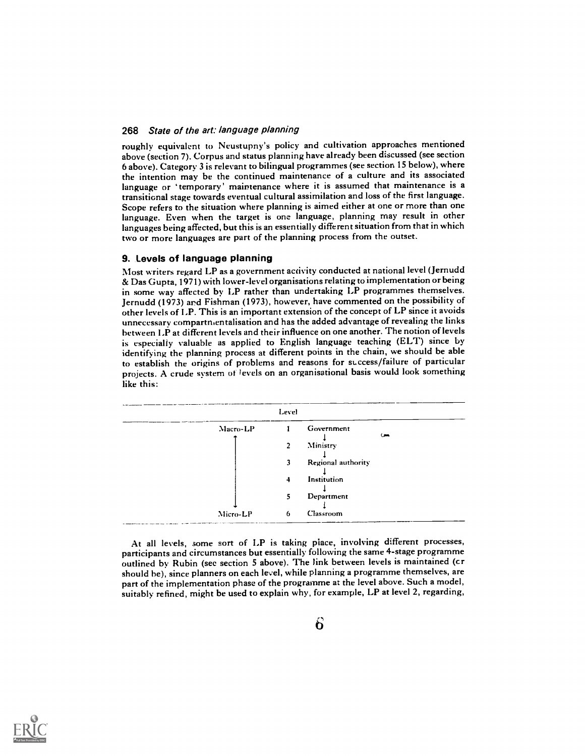roughly equivalent to Neustupny's policy and cultivation approaches mentioned above (section 7). Corpus and status planning have already been discussed (see section 6 above). Category 3 is relevant to bilingual programmes (see section 15 below), where the intention may be the continued maintenance of a culture and its associated language or 'temporary' maintenance where it is assumed that maintenance is a transitional stage towards eventual cultural assimilation and loss of the first language. Scope refers to the situation where planning is aimed either at one or more than one language. Even when the target is one language, planning may result in other languages being affected, but this is an essentially different situation from that in which two or more languages are part of the planning process from the outset.

### 9. Levels of language planning

Most writers regard LP as a government activity conducted at national level (Jernudd & Das Gupta, 1971) with lower-level organisations relating to implementation or being in some way affected by LP rather than undertaking LP programmes themselves. Jernudd (1973) and Fishman (1973), however, have commented on the possibility of other levels of I.P. This is an important extension of the concept of LP since it avoids unnecessary compartmentalisation and has the added advantage of revealing the links between LP at different levels and their influence on one another. The notion of levels is especially valuable as applied to English language teaching (ELT) since by identifying the planning process at different points in the chain, we should be able to establish the origins of problems and reasons for success/failure of particular projects. A crude system of levels on an organisational basis would look something like this:



At all levels, some sort of LP is taking place, involving different processes, participants and circumstances but essentially following the same 4-stage programme outlined by Rubin (sec section 5 above). The link between levels is maintained (cr should he), since planners on each level, while planning a programme themselves, are part of the implementation phase of the programme at the level above. Such a model, suitably refined, might be used to explain why, for example, LP at level 2, regarding,

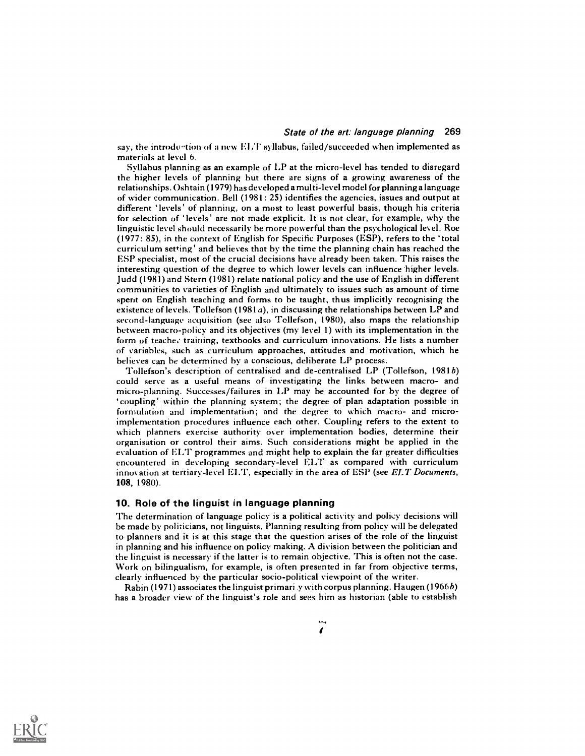say, the introduction of a new ELT syllabus, failed/succeeded when implemented as materials at level 6.

Syllabus planning as an example of LP at the micro-level has tended to disregard the higher levels of planning but there are signs of a growing awareness of the relationships. Oshtain (1979) has developed a multi-level model for planning a language of wider communication. Bell (1981: 25) identifies the agencies, issues and output at different ' levels' of planning, on a most to least powerful basis, though his criteria for selection of 'levels' are not made explicit. It is not clear, for example, why the linguistic level should necessarily he more powerful than the psychological let el. Roe (1977: 85), in the context of English for Specific Purposes (ESP), refers to the 'total curriculum setting' and believes that by the time the planning chain has reached the ESP specialist, most of the crucial decisions have already been taken. This raises the interesting question of the degree to which lower levels can influence higher levels. Judd (1981) and Stern (1981) relate national policy and the use of English in different communities to varieties of English and ultimately to issues such as amount of time spent on English teaching and forms to be taught, thus implicitly recognising the existence of levels. Tollefson  $(1981a)$ , in discussing the relationships between LP and second-language acquisition (see also Tellefson, 1980), also maps the relationship between macro-policy and its objectives (my level 1) with its implementation in the form of teaches training, textbooks and curriculum innovations. He lists a number of variables, such as curriculum approaches, attitudes and motivation, which he believes can be determined by a conscious, deliberate LP process.

Tollefson's description of centralised and de-centralised LP (Tollefson, 1981b) could serve as a useful means of investigating the links between macro- and micro-planning. Successes/failures in LP may be accounted for by the degree of 'coupling' within the planning system; the degree of plan adaptation possible in formulation and implementation; and the degree to which macro- and microimplementation procedures influence each other. Coupling refers to the extent to which planners exercise authority over implementation bodies, determine their organisation or control their aims. Such considerations might be applied in the evaluation of ELT programmes and might help to explain the far greater difficulties encountered in developing secondary-level ELT as compared with curriculum innovation at tertiary-level ELT, especially in the area of ESP (see ELT Documents, 108, 1980).

### 10. Role of the linguist in language planning

The determination of language policy is a political activity and policy decisions will be made by politicians, not linguists. Planning resulting from policy will be delegated to planners and it is at this stage that the question arises of the role of the linguist in planning and his influence on policy making. A division between the politician and the linguist is necessary if the latter is to remain objective. This is often not the case. Work on bilingualism, for example, is often presented in far from objective terms, clearly influenced by the particular socio-political viewpoint of the writer.

Rabin (1971) associates the linguist primari y with corpus planning. Haugen (1966b) has a broader view of the linguist's role and sees him as historian (able to establish

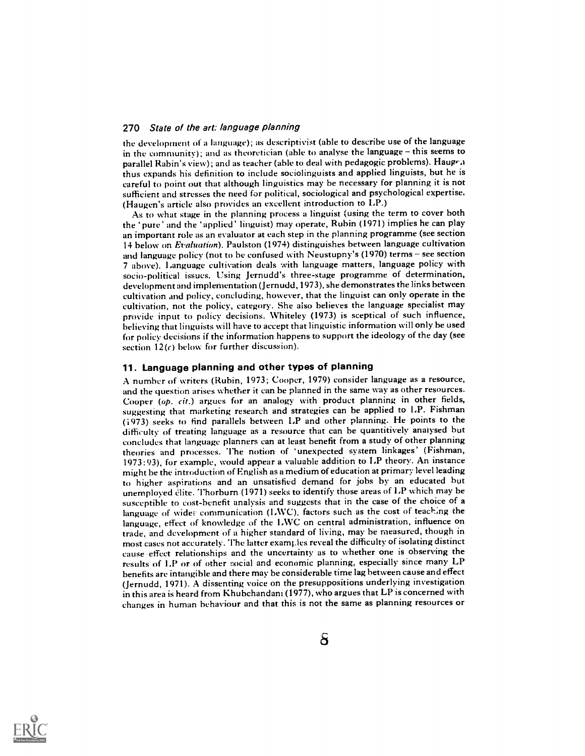the development of a language); as descriptivist (able to describe use of the language in the community); and as theoretician (able to analyse the language - this seems to parallel Rabin's view); and as teacher (able to deal with pedagogic problems). Hauge  $\alpha$ thus expands his definition to include sociolinguists and applied linguists, but he is careful to point out that although linguistics may be necessary for planning it is not sufficient and stresses the need for political, sociological and psychological expertise. (Haugen's article also provides an excellent introduction to LP.)

As to what stage in the planning process a linguist (using the term to cover both the `pure' and the `applied' linguist) may operate, Ruhin (1971) implies he can play an important role as an evaluator at each step in the planning programme (see section 14 below on Evaluation). Paulston (1974) distinguishes between language cultivation and language policy (not to be confused with Neustupny's  $(1970)$  terms  $-$  see section 7 above). Language cultivation deals with language matters, language policy with socio-political issues. Using Jernudd's three-stage programme of determination, development and implementation ( Jernudd, 1973), she demonstrates the links between cultivation and policy, concluding, however, that the linguist can only operate in the cultivation, not the policy, category. She also believes the language specialist may provide input to policy decisions. Whiteley (1973) is sceptical of such influence, believing that linguists will have to accept that linguistic information will only be used for policy decisions if the information happens to support the ideology of the day (see section  $12(c)$  below for further discussion).

# 11. Language planning and other types of planning

A number of writers (Ruhin, 1973; Cooper, 1979) consider language as a resource, and the question arises whether it can he planned in the same way as other resources. Cooper (op. cit.) argues for an analogy with product planning in other fields, suggesting that marketing research and strategies can be applied to LP. Fishman (1973) seeks to find parallels between LP and other planning. He points to the difficulty of treating language as a resource that can be quantitively anaiysed but concludes that language planners can at least benefit from a study of other planning theories and processes. The notion of 'unexpected system linkages' (Fishman, 1973:93), for example, would appear a valuable addition to LP theory. An instance might he the introduction of English as a medium of education at primary level leading to higher aspirations and an unsatisfied demand for jobs by an educated but unemployed elite. Thorburn (1971) seeks to identify those areas of LP which may be susceptible to cost-benefit analysis and suggests that in the case of the choice of a language of wider communication (LWC), factors such as the cost of teaching the language, effect of knowledge of the I,WC on central administration, influence on trade, and development of a higher standard of living, may be measured, though in most cases not accurately. The latter examples reveal the difficulty of isolating distinct cause effect relationships and the uncertainty as to whether one is observing the results of LP or of other social and economic planning, especially since many LP benefits are intangible and there may be considerable time lag between cause and effect ( Jernudd, 1971). A dissenting voice on the presuppositions underlying investigation in this area is heard from Khubchandani (1977), who argues that LP is concerned with changes in human behaviour and that this is not the same as planning resources or

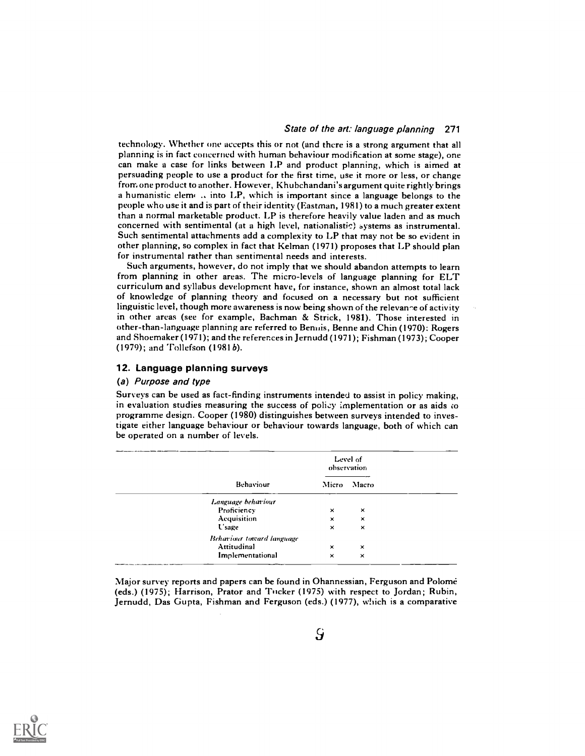technology. Whether one accepts this or not (and there is a strong argument that all planning is in fact concerned with human behaviour modification at some stage), one can make a case for links between LP and product planning, which is aimed at persuading people to use a product for the first time, use it more or less, or change frorn one product to another. However, Khubchandani's argument quite rightly brings a humanistic elemi .. into LP, which is important since a language belongs to the people who use it and is part of their identity (Eastman, 1981) to a much greater extent than a normal marketable product. LP is therefore heavily value laden and as much concerned with sentimental (at a high level, nationalistic) systems as instrumental. Such sentimental attachments add a complexity to LP that may not be so evident in other planning, so complex in fact that Kelman (1971) proposes that LP should plan for instrumental rather than sentimental needs and interests.

Such arguments, however, do not imply that we should abandon attempts to learn from planning in other areas. The micro-levels of language planning for ELT curriculum and syllabus development have, for instance, shown an almost total lack of knowledge of planning theory and focused on a necessary but not sufficient linguistic level, though more awareness is now being shown of the relevance of activity in other areas (see for example, Bachman & Strick, 1981). Those interested in other-than-language planning are referred to Bernfis, Benne and Chin (1970): Rogers and Shoemaker (1971); and the references in Jernudd (1971); Fishman (1973); Cooper (1979); and Tollefson (1981 b).

# 12. Language planning surveys

### (a) Purpose and type

Surveys can be used as fact-finding instruments intended to assist in policy making, in evaluation studies measuring the success of policy implementation or as aids co programme design. Cooper (1980) distinguishes between surveys intended to investigate either language behaviour or behaviour towards language, both of which can be operated on a number of levels.

|                                  |          | Level of<br>observation |  |
|----------------------------------|----------|-------------------------|--|
| Behaviour                        |          | Micro Macro             |  |
| Language behaviour               |          |                         |  |
| Proficiency                      | $\times$ | ×                       |  |
| Acquisition                      | ×        | ×                       |  |
| <b>U</b> sage                    | $\times$ | $\times$                |  |
| <b>Behaviour toward language</b> |          |                         |  |
| Attitudinal                      | ×        | $\times$                |  |
| Implementational                 | $\times$ | $\times$                |  |

Major survey reports and papers can be found in Ohannessian, Ferguson and Polome (eds.) (1975); Harrison, Prator and Tucker (1975) with respect to Jordan ; Rubin, Jernudd, Das Gupta, Fishman and Ferguson (eds.) (1977), which is a comparative

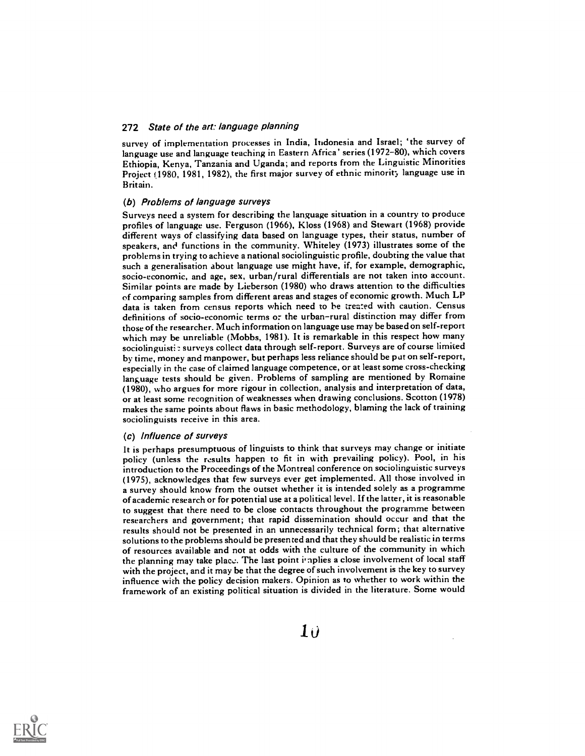survey of implementation processes in India, Indonesia and Israel; `the survey of language use and language teaching in Eastern Africa' series (1972-80), which covers Ethiopia, Kenya, Tanzania and Uganda; and reports from the Linguistic Minorities Project (1980, 1981, 1982), the first major survey of ethnic minority language use in Britain.

# (b) Problems of language surveys

Surveys need a system for describing the language situation in a country to produce profiles of language use. Ferguson (1966), Kloss (1968) and Stewart (1968) provide different ways of classifying data based on language types, their status, number of speakers, and functions in the community. Whiteley (1973) illustrates some of the problems in trying to achieve a national sociolinguistic profile, doubting the value that such a generalisation about language use might have, if, for example, demographic, socio-economic, and age, sex, urban/rural differentials are not taken into account. Similar points are made by Lieberson (1980) who draws attention to the difficulties of comparing samples from different areas and stages of economic growth. Much LP data is taken from census reports which need to be treated with caution. Census definitions of socio-economic terms or the urban-rural distinction may differ from those of the researcher. Much information on language use may be based on self-report which may be unreliable (Mobbs, 1981). It is remarkable in this respect how many sociolinguisti: surveys collect data through self-report. Surveys are of course limited by time, money and manpower, but perhaps less reliance should be put on self-report, especially in the case of claimed language competence, or at least some cross-checking language tests should be given. Problems of sampling are mentioned by Romaine (1980), who argues for more rigour in collection, analysis and interpretation of data, or at least some recognition of weaknesses when drawing conclusions. Scotton (1978) makes the same points about flaws in basic methodology, blaming the lack of training sociolinguists receive in this area.

#### (c) Influence of surveys

It is perhaps presumptuous of linguists to think that surveys may change or initiate policy (unless the results happen to fit in with prevailing policy). Pool, in his introduction to the Proceedings of the Montreal conference on sociolinguistic surveys (1975), acknowledges that few surveys ever get implemented. All those involved in a survey should know from the outset whether it is intended solely as a programme of academic research or for potential use at a political level. If the latter, it is reasonable to suggest that there need to be close contacts throughout the programme between researchers and government; that rapid dissemination should occur and that the results should not be presented in an unnecessarily technical form ; that alternative solutions to the problems should be presented and that they should be realistic in terms of resources available and not at odds with the culture of the community in which the planning may take place. The last point implies a close involvement of local staff with the project, and it may be that the degree of such involvement is the key to survey influence with the policy decision makers. Opinion as to whether to work within the framework of an existing political situation is divided in the literature. Some would



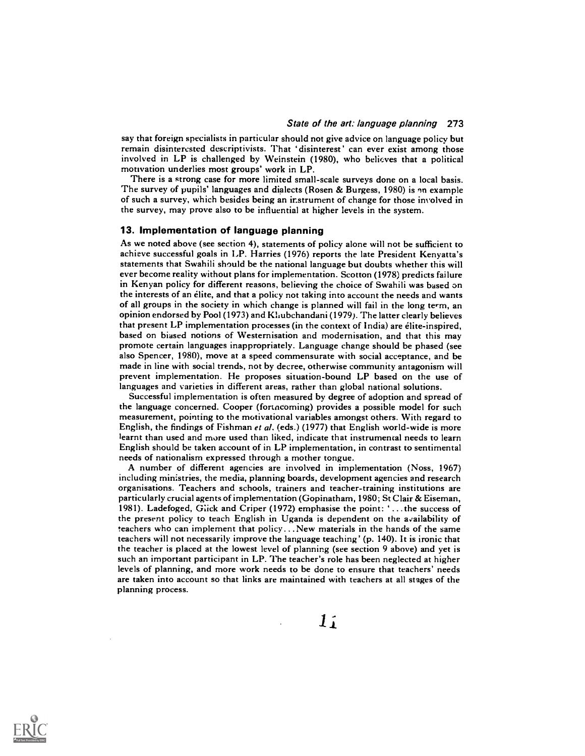say that foreign specialists in particular should not give advice on language policy but remain disinterested descriptivists. That 'disinterest' can ever exist among those involved in LP is challenged by Weinstein (1980), who believes that a political motivation underlies most groups' work in LP.

There is a strong case for more limited small-scale surveys done on a local basis. The survey of pupils' languages and dialects (Rosen & Burgess, 1980) is an example of such a survey, which besides being an instrument of change for those involved in the survey, may prove also to be influential at higher levels in the system.

# 13. Implementation of language planning

As we noted above (see section 4), statements of policy alone will not be sufficient to achieve successful goals in I.P. Harries (1976) reports the late President Kenyatta's statements that Swahili should be the national language but doubts whether this will ever become reality without plans for implementation. Scotton (1978) predicts failure in Kenyan policy for different reasons, believing the choice of Swahili was based on the interests of an elite, and that a policy not taking into account the needs and wants of all groups in the society in which change is planned will fail in the long term, an opinion endorsed by Pool (1973) and Khubchandani (1979). The latter clearly believes that present LP implementation processes (in the context of India) are elite-inspired, based on biased notions of Westernisation and modernisation, and that this may promote certain languages inappropriately. Language change should be phased (see also Spencer, 1980), move at a speed commensurate with social acceptance, and be made in line with social trends, not by decree, otherwise community antagonism will prevent implementation. He proposes situation-bound LP based on the use of languages and varieties in different areas, rather than global national solutions.

Successful implementation is often measured by degree of adoption and spread of the language concerned. Cooper (fortncoming) provides a possible model for such measurement, pointing to the motivational variables amongst others. With regard to English, the findings of Fishman et al. (eds.) (1977) that English world-wide is more learnt than used and more used than liked, indicate that instrumencal needs to learn English should be taken account of in LP implementation, in contrast to sentimental needs of nationalism expressed through a mother tongue.

A number of different agencies are involved in implementation (Noss, 1967) including ministries, the media, planning boards, development agencies and research organisations. Teachers and schools, trainers and teacher-training institutions are particularly crucial agents of implementation (Gopinatham, 1980; St Clair & Eiseman, 1981). Ladefoged, G:ick and Criper (1972) emphasise the point: ...the success of the present policy to teach English in Uganda is dependent on the availability of teachers who can implement that policy ...New materials in the hands of the same teachers will not necessarily improve the language teaching' (p. 140). It is ironic that the teacher is placed at the lowest level of planning (see section 9 above) and yet is such an important participant in LP. The teacher's role has been neglected at higher levels of planning, and more work needs to be done to ensure that teachers' needs are taken into account so that links are maintained with teachers at all stages of the planning process.

 $11$ 

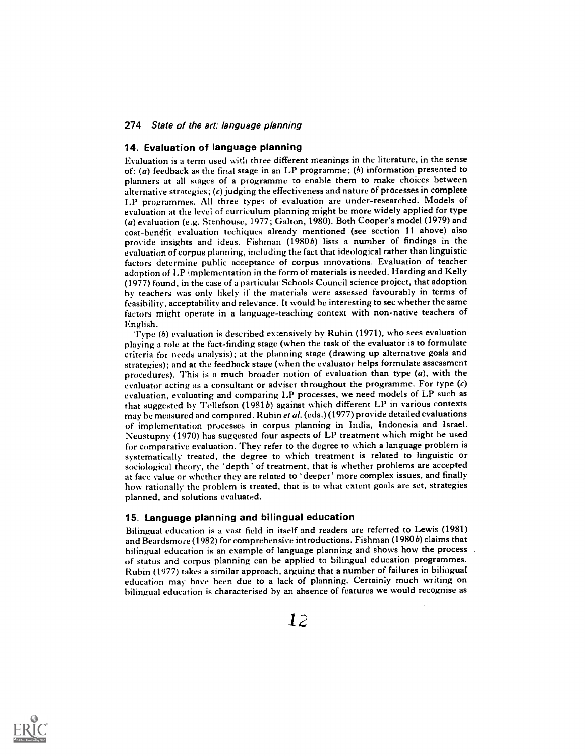# 14. Evaluation of language planning

Evaluation is a term used witli three different meanings in the literature, in the sense of: (a) feedback as the final stage in an LP programme; ( $b$ ) information presented to planners at all stages of a programme to enable them to make choices between alternative strategies; (c) judging the effectiveness and nature of processes in complete LP programmes. All three types of evaluation are under-researched. Models of evaluation at the level of curriculum planning might be more widely applied for type (a) evaluation (e.g. Stenhouse, 1977; Galton, 1980). Both Cooper's model (1979) and cost-benefit evaluation techiques already mentioned (see section 11 above) also provide insights and ideas. Fishman (1980b) lists a number of findings in the evaluation of corpus planning, including the fact that ideological rather than linguistic factors determine public acceptance of corpus innovations. Evaluation of teacher adoption of LP implementation in the form of materials is needed. Harding and Kelly (1977) found, in the case of a particular Schools Council science project, that adoption by teachers was only likely if the materials were assessed favourably in terms of feasibility, acceptability and relevance. It would be interesting to see whether the same factors might operate in a language-teaching context with non-native teachers of English.

'I'ype (b) evaluation is described extensively by Rubin (1971), who sees evaluation playing a role at the fact-finding stage (when the task of the evaluator is to formulate criteria fot needs analysis); at the planning stage (drawing up alternative goals and strategies); and at the feedback stage (when the evaluator helps formulate assessment procedures). This is a much broader notion of evaluation than type (a), with the evaluator acting as a consultant or adviser throughout the programme. For type (c) evaluation, evaluating and comparing LP processes, we need models of LP such as that suggested by Tellefson  $(1981b)$  against which different LP in various contexts may be measured and compared. Rubin et al. (eds.) (1977) provide detailed evaluations of implementation processes in corpus planning in India, Indonesia and Israel. Neustupny (1970) has suggested four aspects of LP treatment which might be used for comparative evaluation. They refer to the degree to which a language problem is systematically treated, the degree to which treatment is related to linguistic or sociological theory, the ' depth ' of treatment, that is whether problems are accepted at face value or whether they are related to ' deeper' more complex issues, and finally how rationally the problem is treated, that is to what extent goals are set, strategies planned, and solutions evaluated.

# 15. Language planning and bilingual education

Bilingual education is a vast field in itself and readers are referred to Lewis (1981) and Beardsmore (1982) for comprehensive introductions. Fishman (1980b) claims that<br>bilingual education is an example of language planning and shows how the process of status and corpus planning can be applied to bilingual education programmes. Rubin (1977) takes a similar approach, arguing that a number of failures in bilingual education may have been due to a lack of planning. Certainly much writing on bilingual education is characterised by an absence of features we would recognise as

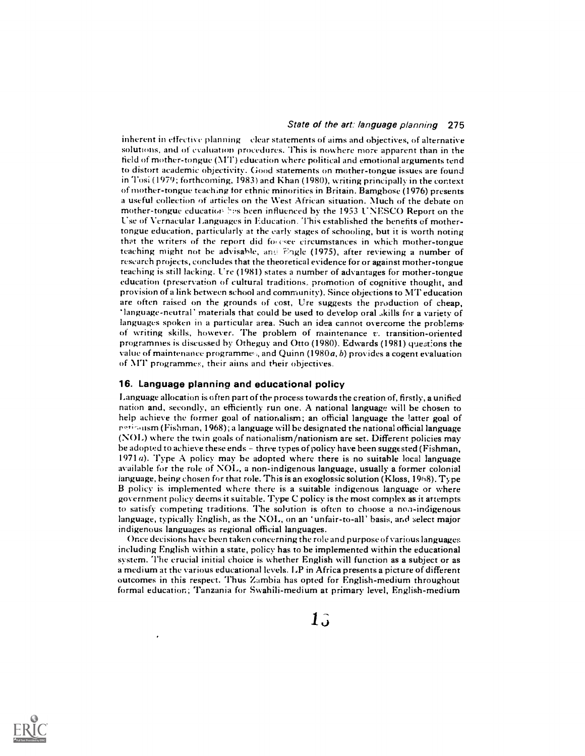inherent in effective planning clear statements of aims and objectives, of alternative solutions, and of evaluation procedures. This is nowhere more apparent than in the field of mother-tongue (NIT) education where political and emotional arguments tend to distort academic objectivity. Good statements on mother-tongue issues are found in Tosi (1979; forthcoming, 1983) and Khan (1980), writing principally in the context of mother-tongue teaching for ethnic minorities in Britain. Bamgbose (1976) presents a useful collection of articles on the West African situation. Much of the debate on mother-tongue education has been influenced by the 1953 UNESCO Report on the Use of Vernacular Languages in Education. This established the benefits of mothertongue education, particularly at the early stages of schooling, but it is worth noting that the writers of the report did for esee circumstances in which mother-tongue teaching might not be advisable, and Eigle (1975), after reviewing a number of research projects, concludes that the theoretical evidence for or against mother-tongue teaching is still lacking. Ure (1981) states a number of advantages for mother-tongue education (preservation of cultural traditions, promotion of cognitive thought, and provision of a link between school and community). Since objections to MT education are often raised on the grounds of cost, Ure suggests the production of cheap, ' language - neutral' materials that could be used to develop oral .,kills for a variety of languages spoken in a particular area. Such an idea cannot overcome the problems of writing skills, however. The problem of maintenance  $v$ , transition-oriented programmes is discussed by Otheguy and Otto (1980). Edwards (1981) questions the value of maintenance programmes, and Quinn (1980 $a$ , b) provides a cogent evaluation of MT programmes, their aims and their objectives.

### 16. Language planning and educational policy

Language allocation is often part of the process towards the creation of, firstly, a unified nation and, secondly, an efficiently run one. A national language will be chosen to help achieve the former goal of nationalism; an official language the latter goal of (Fishman, 1968); a language will be designated the national official language (NOL) where the twin goals of nationalism/nationism are set. Different policies may be adopted to achieve these ends  $-$  three types of policy have been suggested (Fishman, 1971 a). Type A policy may be adopted where there is no suitable local language available for the role of NOL, a non-indigenous language, usually a former colonial language, being chosen for that role. This is an exoglossic solution (Kloss, 1968). Type B policy is implemented where there is a suitable indigenous language or where government policy deems it suitable. Type C policy is the most complex as it attempts to satisfy competing traditions. The solution is often to choose a non-indigenous language, typically English, as the NOL, on an 'unfair -to -all' basis, and select major indigenous languages as regional official languages.

Once decisions have been taken concerning the role and purpose of various languages including English within a state, policy has to be implemented within the educational system. The crucial initial choice is whether English will function as a subject or as a medium at the various educational levels. LP in Africa presents a picture of different outcomes in this respect. Thus Zambia has opted for English-medium throughout formal education; Tanzania for Swahili-medium at primary level, English-medium

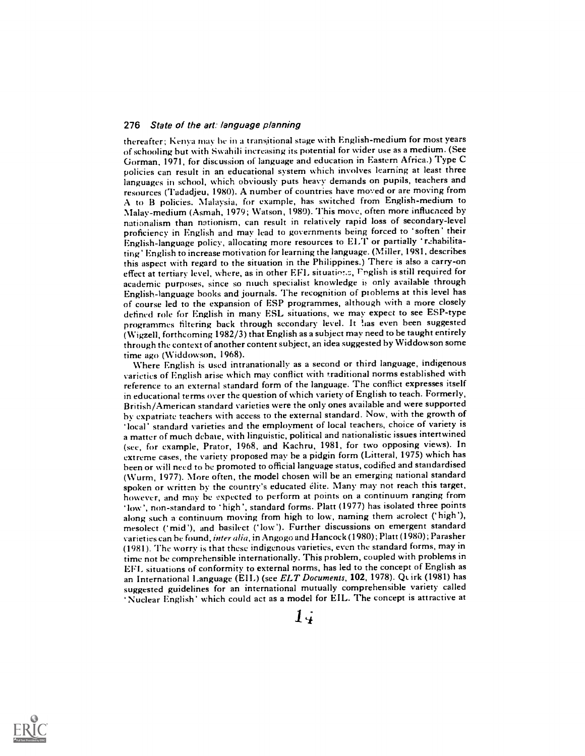thereafter; Kenya may be in a transitional stage with English-medium for most years of schooling but with Swahili increasing its potential for wider use as a medium. (See Gorman, 1971, for discussion of language and education in Eastern Africa.) Type C policies can result in an educational system which involves learning at least three languages in school, which obviously puts heavy demands on pupils, teachers and resources ('I'adadjeu, 1980). A number of countries have moved or are moving from A to B policies. Malaysia, for example, has switched from English-medium to Malay-medium (Asmah, 1979; Watson, 1980). This move, often more influenced by nationalism than nationism, can result in relatively rapid loss of secondary-level proficiency in English and may lead to governments being forced to 'soften' their English-language policy, allocating more resources to ELT or partially 'rehabilitating' English to increase motivation for learning the language. (Miller, 1981, describes this aspect with regard to the situation in the Philippines.) There is also a carry-on effect at tertiary level, where, as in other EFL situations, Fnglish is still required for academic purposes, since so niuch specialist knowledge is only available through English-language hooks and journals. The recognition of problems at this level has of course led to the expansion of ESP programmes, although with a more closely defined role for English in many ESL situations, we may expect to see ESP-type programmes filtering back through secondary level. It las even been suggested (Wigzell, forthcoming 1982/3) that English as a subject may need to be taught entirely through the context of another content subject, an idea suggested by Widdowson some

time ago (Widdowson, 1968). Where English is used intranationally as a second or third language, indigenous varieties of English arise which may conflict with traditional norms established with reference to an external standard form of the language. The conflict expresses itself in educational terms over the question of which variety of English to teach. Formerly, British/American standard varieties were the only ones available and were supported by expatriate teachers with access to the external standard. Now, with the growth of local' standard varieties and the employment of local teachers, choice of variety is a matter of much debate, with linguistic, political and nationalistic issues intertwined (see, for example, Prator, 1968, and Kachru, 1981, for two opposing views). In extreme cases, the variety proposed may he a pidgin form (Litteral, 1975) which has been or will need to he promoted to official language status, codified and standardised (Wurm, 1977). More often, the model chosen will be an emerging national standard spoken or written by the country's educated elite. Many may not reach this target, however, and may he expected to perform at points on a continuum ranging from 'low', non-standard to 'high', standard forms. Platt (1977) has isolated three points along such a continuum moving from high to low, naming them acrolect ('high'), mesolect ('mid'), and basilect ('low'). Further discussions on emergent standard varieties can be found, inter alia, in Angogo and Hancock (1980); Platt (1980); Parasher (1981). The worry is that these indigenous varieties, even the standard forms, may in time not be comprehensible internationally. This problem, coupled with problems in EFL situations of conformity to external norms, has led to the concept of English as an International Language (EIL) (see ELT Documents, 102, 1978). Quirk (1981) has suggested guidelines for an international mutually comprehensible variety called Nuclear English' which could act as a model for EIL. The concept is attractive at

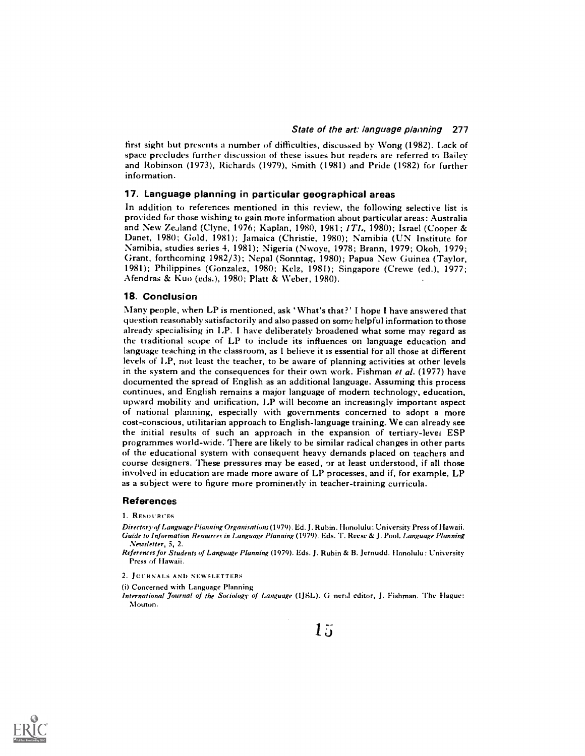first sight but presents a number of difficulties, discussed by Wong (1982). Lack of space precludes further discussion of these issues but readers are referred to Bailey and Robinson (1973), Richards (1979), Smith (1981) and Pride (1982) for further information.

# 17. Language planning in particular geographical areas

In addition to references mentioned in this review, the following selective list is provided for those wishing to gain more information about particular areas: Australia and New Zealand (Clyne, 1976; Kaplan, 1980, 1981;  $ITL$ , 1980); Israel (Cooper & Danet, 1980; Gold, 1981); Jamaica (Christie, 1980); Namibia (UN Institute for Namibia, studies series 4, 1981); Nigeria (Nwoye, 1978; Brann, 1979; Okoh, 1979; Grant, forthcoming 1982/3); Nepal (Sonntag, 1980); Papua New Guinea (Taylor, 1981); Philippines (Gonzalez, 1980; Kelz, 1981); Singapore (Crewe (ed.), 1977; Afendras & Kuo (eds.), 1980; Platt & Weber, 1980).

#### 18. Conclusion

Many people, when LP is mentioned, ask 'What's that ?' I hope 1 have answered that question reasonably satisfactorily and also passed on some helpful information to those already specialising in LP. I have deliberately broadened what some may regard as the traditional scope of LP to include its influences on language education and language teaching in the classroom, as I believe it is essential for all those at different levels of LP, not least the teacher, to be aware of planning activities at other levels in the system and the consequences for their own work. Fishman et al. (1977) have documented the spread of English as an additional language. Assuming this process continues, and English remains a major language of modern technology, education, upward mobility and unification, LP will become an increasingly important aspect of national planning, especially with governments concerned to adopt a more cost-conscious, utilitarian approach to English-language training. We can already see the initial results of such an approach in the expansion of tertiary-level ESP programmes world-wide. There are likely to be similar radical changes in other parts of the educational system with consequent heavy demands placed on teachers and course designers. These pressures may be eased, or at least understood, if all those involved in education are made more aware of LP processes, and if, for example, LP as a subject were to figure more prominently in teacher-training curricula.

### References

1. RESOURCES

Directory of Language Planning Organisations (1979). Ed. J. Rubin. Honolulu: University Press of Hawaii. Guide to Information Resources in Language Planning (1979). Eds. T. Reese & J. Pool, Language Planning Newsletter, 5, 2.

- References for Students of Language Planning (1979). Eds. J. Rubin & B. Jernudd. Honolulu: University Press of Hawaii.
- 2. JOURNALS AND NEWSLETTERS

(i) Concerned with Language Planning

International Journal of the Sociology of Language (IJSL). G ner;d editor, J. Fishman. The Hague: Mouton.

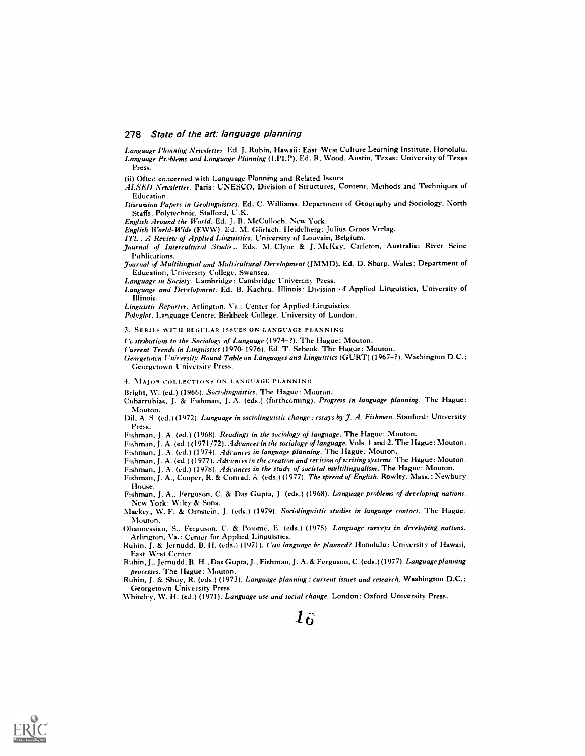Language Planning Newsletter. Ed. J. Ruhin, Hawaii: East--West Culture Learning Institute, Honolulu. Language Problems and Language Planning (LPLP). Ed. R. Wood. Austin, Texas: University of Texas Press.

(ii) Often concerned with Language Planning and Related Issues

.4LSED Newsletter. Paris: UNESCO, Division of Structures, Content, Methods and Techniques of Education.

Discussion Papers in Geolinguistics. Ed. C. Williams. Department of Geography and Sociology, North Staffs. Polytechnic, Stafford, U.K.

English Around the World. Ed. J. B. McCulloch. New York.

English World-Wide (EWW). Ed. M. Görlach. Heidelberg: Julius Groos Verlag.

 $ITL: A$  Review of Applied Linguistics. University of Louvain, Belgium.

Journal of Intercultural Studie .. Eds. M. Clyne & J. McKay. Carleton, Australia: River Seine Puhlications.

Journal of Multilingual and Multicultural Development (JMMD). Ed. D. Sharp. Wales: Department of Education, University College, Swansea.

Language in Society. Cambridge: Cambridge University Press.

Language and Development. Ed. B. Kachru. Illinois: Division of Applied Linguistics, University of Illinois.

Linguistic Reporter. Arlington, Va.: Center for Applied Linguistics.

Polyglot. Language Centre, Birkbeck College, University of London.

3. SERIES WITII REGULAR ISSUES ON LANGUAGE PLANNING

 $Ca$  tributions to the Sociology of Language (1974-?). The Hague: Mouton.

Current Trends in Linguistics (1970-1976). Ed. T. Sebeok. The Hague: Mouton.

Georgetown University Round Table on Languages and Linguistics (CURT) (1967 ?). Washington D.C.: Georgetown University Press.

4. MAJOR COLLECTIONS ON LANGUAGE PLANNING

Bright, W. (ed.) (1966). Sociolinguistics. The Hague: Mouton.

Cobarrubias, J. & Fishman, J. A. (eds.) (forthcoming). Progress in language planning. The Hague: Mouton.

Dil, A. S. (ed.) (1972). Language in sociolinguistic change : essays by J. A. Fishman. Stanford: University Press.

Fishman, J. A. (ed.) (1968). Readings in the sociology of language. The Hague: Mouton.

Fishman, J. A. (ed.) (1971/72). Advances in the sociology of language. Vols. 1 and 2. The Hague: Mouton. Fishman, J. A. (ed.) (1974). Advances in language planning. The Hague: Mouton.

Fishman, J. A. (ed.) (1977). Advances in the creation and revision of writing systems. The Hague: Mouton.

Fishman, J. A. (ed.) (1978). Advances in the study of societal multilingualism. The Hague: Mouton.

Fishman, J. A., Cooper, R. & Conrad. A (eds.) (1977). The spread of English. Rowley, Mass.: Newbury I louse.

Fishman, J. A., Ferguson, C. & Das Gupta, J (eds.) (1968). Language problems of developing nations. New York: Wiley & Sons.

Mackey, W. F. & Ornstein, J. (eds.) (1979). Sociolinguistic studies in language contact. The Hague: Mouton.

Ohannessian, S., Ferguson, C. & Potomé, E. (eds.) (1975). Language surveys in developing nations. Arlington, Va.: Center for Applied Linguistics.

Rubin, J. & Jernudd, B. H. (eds.) (1971). Can language be planned? Honolulu: University of Hawaii, East West Center.

Rubin, J., Jernudd, B. H., Das Gupta, J., Fishman, J. A. & Ferguson, C. (eds.) (1977). Language planning processes. The Hague: Mouton.

Ruhin, J. & Shuy, R. (eds.) (1973). Language planning: current issues and research. Washington D.C.: Georgetown University Press.

Whiteley, W. H. (ed.) (1971). Language use and social change. London: Oxford University Press.

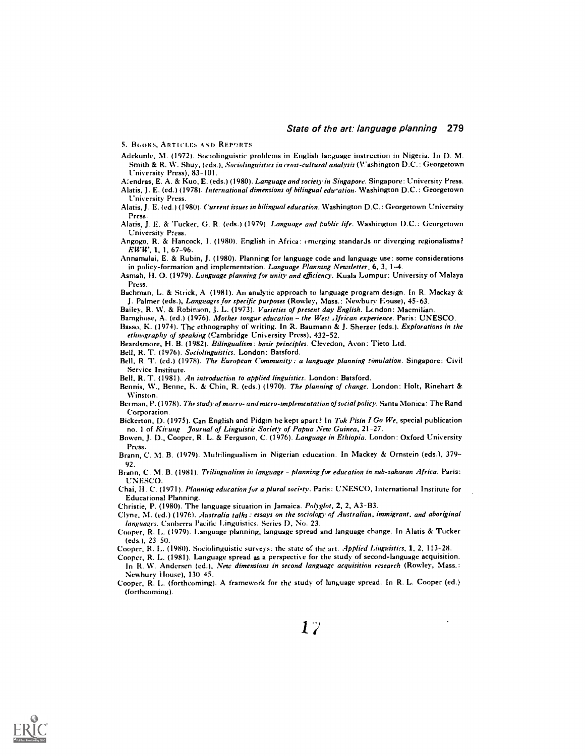5. BGOKS, ARTICLES AND REPORTS

- Adekunle, M. (1972). Sociolinguistic problems in English language instruction in Nigeria. In D. M. Smith & R. W. Shuy, (eds.), Sociolinguistics in cross-cultural analysis (Washington D.C.: Georgetown University Press), 83-101.
- A:endras, E. A. & Kuo, E. (eds.) (1980). Language and society in Singapore. Singapore: University Press. Alatis, J. E. (ed.) (1978). International dimensions of bilingual edu-ation. Washington D.C.: Georgetown L'niversity Press.
- Alatis, J. E. (ed.) (1980). Current issues in bilingual education. Washington D.C.: Georgetown University Press.
- Alatis, J. E. & Tucker, G. R. (eds.) (1979). Language and public life. Washington D.C.: Georgetown University Press.
- Angogo, R. & Hancock, I. (1980). English in Africa: emerging standards or diverging regionalisms? EWW, 1, 1,67-96.
- Annamalai, E. & Rubin, J. (1980). Planning for language code and language use: some considerations in policy-formation and implementation. Language Planning Newsletter, 6, 3, 1-4.
- Asmah, H. O. (1979). Language planning for unity and efficiency. Kuala Lumpur: University of Malaya Press.
- Bachman. L. & Strick, A (1981). An analytic approach to language program design. In R. Mackay & J. Palmer (eds.), Languages for specific purposes (Rowley, Mass.: Newbury Kouse), 45-63.
- Bailey, R. W. & Robinson, J. L. (1973). Varieties of present day English. London: Macmilian.
- Bamgbose, A. (ed.) (1976). Mother tongue education the West African experience. Paris: UNESCO. Basso, K. (1974). The ethnography of writing. In R. Baumann & J. Sherzer (eds.). Explorations in the ethnography of speaking (Cambridge University Press), 432-52.
- Beardsmore, H. B. (1982). Bilingualism : basic principles. Clevedon, Avon: Tieto Ltd.
- Bell, R. T. (1976). Sociolinguistics. London: Batsford.
- Bell, R. T. (ed.) (1978). The European Community : a language planning simulation. Singapore: Civil Service Institute.

Bell, R. T. (1981). An introduction to applied linguistics. London: Batsford.

- Bennis, W., Benne, K. & Chin, R. (eds.) (1970). The planning of change. London: Holt, Rinehart & Winston.
- Berman, P. (1978). The study of macro- and micro-implementation of social policy. Santa Monica: The Rand **Corporation**
- Bickerton, D. (1975). Can English and Pidgin be kept apart? In Tok Pisin I Go We, special publication no. 1 of Kit ung Journal of Linguistic Society of Papua New Guinea, 21-27.
- Bowen, J. D., Cooper, R. L. & Ferguson, C. (1976). Language in Ethiopia. London: Oxford University Press.
- Brann, C. M. B. (1979). Nlultilingualism in Nigerian education. In Mackey & Ornstein (eds.), 379- 92.
- Brann, C. M. B. (1981). Trilingualism in language planning for education in sub-saharan Africa. Paris: UNESCO.
- Chai, H. C. (1971). Planning education for a plural society. Paris: UNESCO, International Institute for Educational Planning.
- Christie, P. (1980). The language situation in Jamaica. Polyglot, 2, 2, A3-B3.
- Clyne, NI. (ed.) (1976). Australia talks : essays on the sociology of Australian, immigrant, and aboriginal languages. Canberra Pacific Linguistics. Series D, No. 23.
- Cooper, R. L. (1979). Language planning, language spread and language change. In Alatis & Tucker (eds.), 23 50.
- Cooper, R. L. (1980). Sociolinguistic surveys: the state of the art. *Applied Linguistics*, 1, 2, 113-28.
- Cooper, R. L. (1981). Language spread as a perspective for the study of second-language acquisition. In R. W. Andersen (ed.), New dimensions in second language acquisition research (Rowley, Mass.: Newbury 'louse), 130 45.
- Cooper, R. L. (forthcoming). A framework for the study of language spread. In R. L. Cooper (ed.) (forthcoming).

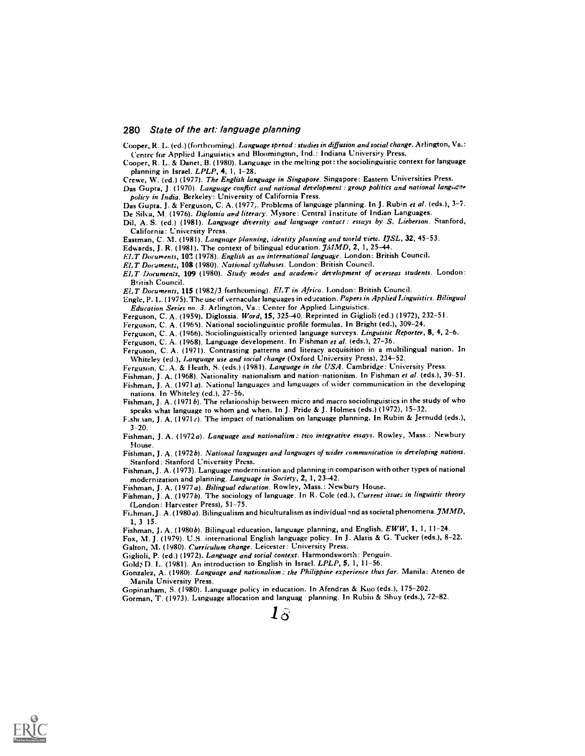Cooper, R. L. (ed.) (forthcoming). Language spread : studies in diffusion and social change. Arlington, Va.: Centre for Applied Linguistics and Bloomington, Ind.: Indiana University Press.

Cooper, R. L. & Danet, B. (1980). Language in the melting pot: the sociolinguistic context for language planning in Israel. LPLP, 4, 1, 1-28.

Crewe, W. (ed.) (1977). The English language in Singapore. Singapore: Eastern Universities Press.

Das Gupta, J. (1970). Language conflict and national development : group politics and national languane policy in India. Berkeley: University of California Fress.

Das Gupta, J. & Ferguson, C. A. (1977). Problems of language planning. In J. Rubin et al. (eds.), 3-7. De Silva, M. (1976). Diglossia and literacy. Mysore: Central Institute of Indian Languages.

Dil, A. S. (ed.) (1981). Language diversity and language contact: essays by S. Lieberson. Stanford, California: University Press.

Eastman, C. M. (1981). Language planning, identity planning and world view. IJSL, 32, 45-53.

Edwards, J. R. (1981). The context of bilingual education.  $J\hat{\mu}M\hat{D}$ , 2, 1, 25-44.

ELT Documents, 103 (1978). English as an international language. London: British Council.

ELT Documents, 108 (1980). National syllabuses. London: British Council.

ELT Documents, 109 (1980). Study modes and academic development of overseas students. London: British Council.

ELT Documents, 115 (1982/3 forthcoming). ELT in Africa. London: British Council.

Engle, P. L. (1975). The use of vernacular languages in education. Papers in Applied Linguistics. Bilingual Education Series no. 3. Arlington, Va.: Center for Applied Linguistics.

Ferguson, C. A. (1959). Diglossia. Word, 15, 325-40. Reprinted in Giglioli (ed.) (1972), 232-51.

Ferguson, C. A. (1965). National sociolinguistic profile formulas. In Bright (ed.), 309-24.

Ferguson, C. A. (1966). Sociolinguistically oriented language surveys. Linguistic Reporter, 8, 4, 2-6.

Ferguson, C. A. (1968). Language development. In Fishman et al. (eds.), 27-36.

Ferguson, C. A. (1971). Contrasting patterns and literacy acquisition in a multilingual nation. In Whiteley (ed.), Language use and social change (Oxford University Press), 234-52.

Ferguson, C. A. & Heath, S. (eds.) (1981). Language in the USA. Cambridge: University Press.

Fishman, J. A. (1968). Nationality nationalism and nation-nationism. In Fishman et al. (eds.), 39-51.

Fishman, J. A. (1971 a). National languages and languages of wider communication in the developing nations. In Whiteley (ed.), 27-56.

Fishman, J. A. (1971 b). The relationship between micro and macro sociolinguistics in the study of who speaks what language to whom and when. In J. Pride & J. Holmes (eds.) (1972), 15-32.

F.shrian, J. A. (1971 c). The impact of nationalism on language planning. In Rubin & Jernudd (eds.), 3-20.

Fishman, J. A. (1972a). Language and nationalism: two integrative essays. Rowley, Mass.: Newbury House.

Fishman, J. A. (19726). National languages and languages of wider communication in developing nations. Stanford: Stanford University Press.

Fishman, J. A. (1973). Language modernization and planning in comparison with other types of national modernization and planning. Language in Society, 2, 1, 23-42.

Fishman, J. A. (1977a). Bilingual education. Rowley, Mass.: Newbury House.

Fishman, J. A. (1977b). The sociology of language. In R. Cole (ed.), Current issues in linguistic theory (London: Harvester Press), 51-75.

Fishman, J. A. (1980 a). Bilingualism and hiculturalism as individual and as societal phenomena.  $\mathcal{J}MMD$ , 1, 3 15.

Fishman, J. A. (1980b). Bilingual education, language planning, and English.  $EWW$ , 1, 1, 11-24.

Fox, M. J. (1979). U.S. international English language policy. In J. Alatis & G. Tucker (eds.), 8-22. Galton, M. (1980). Curriculum change. Leicester: University Press.

Giglioli, P. (ed.) (1972). Language and social context. Harmondsworth: Penguin.

Gold; D. L. (1981). An introduction to English in Israel. LPLP, 5, 1, 11-56.

Gonzalez, A. (1980). Language and nationalism : the Philippine experience thus far. Manila: Ateneo de Manila University Press.

Gopinatham, S. (1980). Language policy in education. In Afendras & Kuo (eds.), 175-202.

Gorman, T. (1973). Language allocation and languag planning. In Rubin & Shuy (eds.), 72-82.



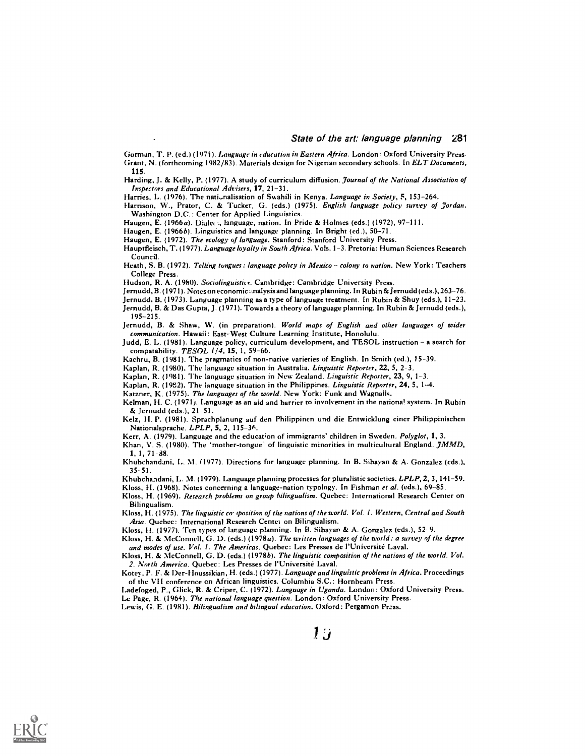Gorman, T. P. (ed.) (1971). Language in education in Eastern Africa. London: Oxford University Press. Grant, N. (forthcoming 1982/83). Materials design for Nigerian secondary schools. In ELT Documents, 115.

Harding, J. & Kelly, P. (1977). A study of curriculum diffusion. Journal of the National Association of Inspectors and Educational Advisers, 17, 21-31.

Harries, L. (1976). The nationalisation of Swahili in Kenya. Language in Society, 5, 153-264.

Harrison, W., Prator, C. & Tucker, G. (eds.) (1975). English language policy survey of Jordan. Washington D.C.: Center for Applied Linguistics.

Haugen, E. (1966a). Dialeci, language, nation. In Pride & Holmes (eds.) (1972), 97-111.

Haugen, E. (1966b). Linguistics and language planning. In Bright (ed.), 50-71.

Haugen, E. (1972). The ecology of language. Stanford: Stanford University Press.

Hauptfleisch, T. (1977). Language loyalty in South Africa. Vols. 1-3. Pretoria: Human Sciences Research Council.

Heath, S. B. (1972). Telling tongues: language policy in Mexico - colony to nation. New York: Teachers College Press.

Hudson, R. A. (1980). Sociolinguistics. Cambridge: Cambridge University Press.

jernudd, B. (1971). Notes on economic ,tnalysis and language planning. In Rubin & Jernudd (eds.), 263-76.

Jernudd. B. (1973). Language planning as a type of language treatment. In Rubin & Shuy (eds.), 11-23.

Jernudd, B. & Das Gupta, J. (1971). Towards a theory of language planning. In Rubin & jernudd (eds.), 195-215.

jernudd, B. & Shaw, W. (in preparation). World maps of English and other languages of wider communication. Hawaii: East-West Culture Learning Institute, Honolulu.

Judd, E. L. (1981). Language policy, curriculum development, and TESOL instruction - a search for compatability. TESOL 1/4, 15, 1, 59-66.

Kachru, B. (1981). The pragmatics of non-native varieties of English. In Smith (ed.), 15-39.

Kaplan, R. (1980). The language situation in Australia. Linguistic Reporter, 22, 5, 2-3.

Kaplan, R. (1981). The language situation in New Zealand. Linguistic Reporter, 23, 9, 1-3.

Kaplan, R. (1932). The language situation in the Philippines. Linguistic Reporter, 24, 5, 1-4.

Katzner, K. (1975). The languages of the world. New York: Funk and Wagnalls.

Kelman, H. C. (1971). Language as an aid and barrier to involvement in the national system. In Rubin & jernudd (eds.), 21-51.

Kelz, H. P. (1981). Sprachplanung auf den Philippinen and die Entwicklung einer Philippinischen Nationalsprache. LPLP, 5, 2, 115-36.

Kerr, A. (1979). Language and the education of immigrants' children in Sweden. Polyglot, 1, 3.

Khan, V. S. (1980). The 'mother-tongue' of linguistic minorities in multicultural England. JMMD, 1, 1, 71-88.

Khubchandani, L. M. (1977). Directions for language planning. In B. Sibayan & A. Gonzalez (eds.), 35-51.

Khubchandani, L. M. (1979). Language planning processes for pluralistic societies. LPLP, 2, 3, 141-59.

Kloss, H. (1968). Notes concerning a language-nation typology. In Fishman et al. (eds.), 69-85.

Kloss, H. (1969). Research problems on group bilingualism. Quebec: International Research Center on Bilingualism.

Kloss, H. (1975). The linguistic co. 'position of the nations of the world. Vol. 1. Western, Central and South Asia. Quebec: International Research Centel on Bilingualism.

Moss, H. (1977). Ten types of language planning. In B. Sibayan & A. Gonzalez (eds.), 52- 9.

Kloss, H. & McConnell, G. D. (eds.) (1978a). The written languages of the world: a survey of the degree and modes of use. Vol. 1. The Americas. Quebec: Les Presses de l'Université Laval.

Kloss, H. & McConnell, G. D. (eds.) (1978b). The linguistic composition of the nations of the world. Vol. 2. North America. Quebec: Les Presses de l'Universite Laval.

Kotey, P. F. & Der-I loussikian, H. (eds.) (1977). Language and linguistic problems in Africa. Proceedings of the VII conference on African linguistics. Columbia S.C.: Hornbeam Press.

Ladefoged, P., Glick, R. & Criper, C. (1972). Language in Uganda. London: Oxford University Press. Le Page, R. (1964). The national language question. London: Oxford University Press.

Lewis, G. E. (1981). Bilingualism and bilingual education. Oxford: Pergamon Press.

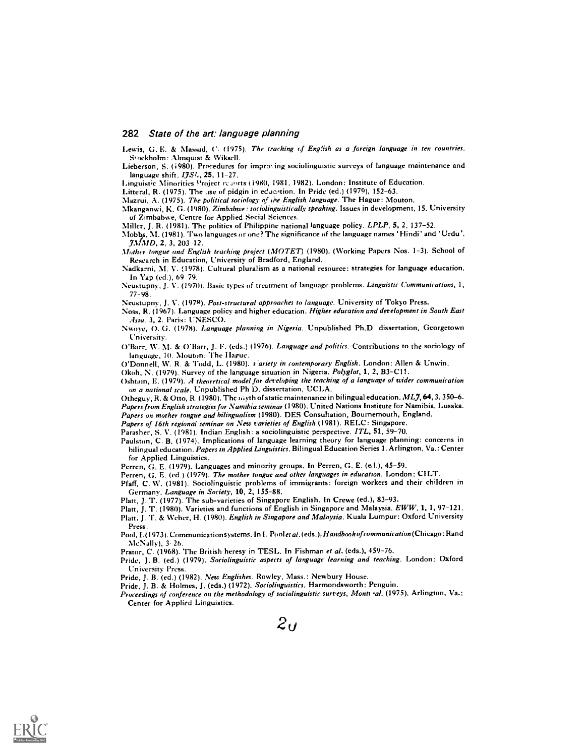Lewis, G. E. & Nlassad, C. (1975). The teaching cf English as a foreign language in ten countries. Stockholm: Almquist & Wiksell.

Lieberson, S. (1980). Procedures for improving sociolinguistic surveys of language maintenance and language shift.  $I7S<sub>1</sub>$ , 25, 11-27.

Linguistic Minorities Project respits (1980, 1981, 1982). London: Institute of Education.

Litteral, R. (1975). The use of pidgin in education. In Pride (ed.) (1979), 152-63.

Mazrui, A. (1975). The political sociology of the English language. The Hague: Mouton.

Mkanganwi, K. G. (1980). Zimbabwe: sociolinguistically speaking. Issues in development, 15. University of Zimbabwe, Centre for Applied Social Sciences.

Miller, J. R. (1981). The politics of Philippine national language policy. LPLP, 5, 2, 137-52.

Nlobbs, M. (1981). 'Two languages or one? The significance of the language names 'Hindi ' and 'Urdu'.  $JMMD$ , 2, 3, 203 12.

Mother tongue and English teaching project (MOTET) (1980). (Working Papers Nos. 1-3). School of Research in Education, University of Bradford, England.

Nadkarni, M. V. (1978). Cultural pluralism as a national resource: strategies for language education. In Yap (ed.), 69 79.

Neustupny, J. V. (1970). Basic types of treatment of language problems. Linguistic Communications, 1, 77-98.

Neustupny, J. V. (1978). Post-structural approaches to language. University of Tokyo Press.

Noss, R. (1967). Language policy and higher education. Higher education and development in South East Asia. 3, 2. Paris: UNESCO.

Nwoye, 0. G. (1978). Language planning in Nigeria. Unpublished Ph.D. dissertation, Georgetown University.

()Tarr, W. M. & O'Barr, J. F. (eds.) (1976). Language and politics. Contributions to the sociology of language, 10. Mouton: The Ilapue.

O'Donnell, W. R. & Todd, L. (1980). *4 ariety in contemporary English*. London: Allen & Unwin.

Okoh, N. (1979). Survey of the language situation in Nigeria. Polyglot, 1, 2, B3-C11.

Oshtain, E. (1979). A theoretical model for developing the teaching of a language of wider communication on a national scale. Unpublished Ph D. dissertation, UCLA.

Otheguy, R. & Otto, R. (1980). The myth of static maintenance in bilingual education. ML7, 64, 3, 350-6. Papers from English strategies for Namibia seminar (1980). United Nations Institute for Namibia, Lusaka. Papers on mother tongue and bilingualism (1980). DES Consultation, Bournemouth, England.

Papers of 16th regional seminar on New varieties of English (1981). RELC: Singapore.

Parasher, S. V. (1981). Indian English: a sociolinguistic perspective. ITL, 51, 59-70.

Paulston, C. B. (1974). Implications of language learning theory for language planning: concerns in bilingual education. Papers in Applied Linguistics. Bilingual Education Series 1. Arlington, Va.: Center for Applied Linguistics.

Perren, G. E. (1979). Languages and minority groups. In Perren, G. E. (e.l.), 45-59.

Perren, G. E. (ed.) (1979). The mother tongue and other languages in education. London: CILT.

Pfaff, C. W. (1981). Sociolinguistic problems of immigrants: foreign workers and their children in Germany. Language in Society, 10, 2, 155-88.

Platt, J. T. (1977). The sub-varieties of Singapore English. In Crewe (ed.), 83-93.

Platt, J. T. (1980). Varieties and functions of English in Singapore and Malaysia. EWW, 1, 1, 97-121.

Platt, J. T. & Weber, H. (1980). English in Singapore and Malaysia. Kuala Lumpur: Oxford University

Press. Pool, I. (1973). Communication systems. In I. Poolet al. (eds.), Handbook of communication (Chicago: Rand McNally), 3 26.

Prator, C. (1968). The British heresy in TESL. In Fishman et al. (eds.), 459-76.

Pride, J. B. (ed.) (1979). Sociolinguistic aspects of language learning and teaching. London: Oxford University Press.

Pride, J. B. (ed.) (1982). New Englishes. Rowley, Mass.: Newbury House.

Pride, J. B. & Holmes, J. (eds.) (1972). Sociolinguistics. Harmondsworth: Penguin.

Proceedings of conference on the methodology of sociolinguistic surveys, Monti -al. (1975). Arlington, Va.: Center for Applied Linguistics.

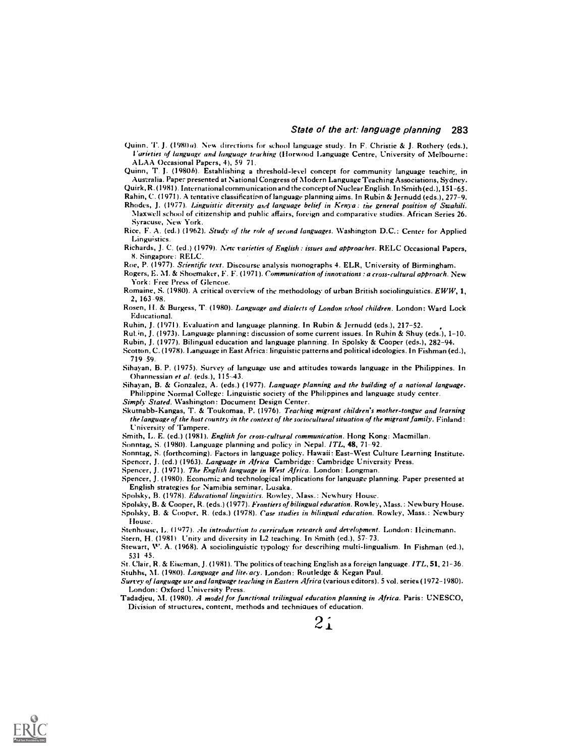Quinn. T. J. (1980a) New directions for school language study. In F. Christie & J. Rothery (eds.), l'arieties of language and language teaching (Harwood Language Centre, University of Melbourne: A LAA Occasional Papers, 4), 59 71.

Quinn, T. J. (1980b). Estahlishing a threshold-level concept for community language teaching in Australia. Pape: presented at National Congress of Modern Language Teaching Associations, Sydney.

Quirk, R. (1981). International communication and the concept of Nuclear English. In Smith (ed.), 151-65. Rabin, C. (1971). A tentative classification of language planning aims. In Rubin & Jernudd (eds.), 277-9.

Rhodes, J. (1977). Linguistic diversity and language belief in Kenya: the general position of Swahili. Maxwell school of citizenship and public affairs, foreign and comparative studies. African Series 26. Syracuse, New York.

Rice, F. A. (ed.) (1962). Study of the role of second languages. Washington D.C.: Center for Applied Linguistics.

Richards, J. C. (ed.) (1979). New varieties of English : issues and approaches. RELC Occasional Papers, 8. Singapore: RELC.

Roe, P. (1977). Scientific text. Discourse analysis monographs 4. ELR, University of Birmingham.

Rogers, E. M. & Shoemaker, F. F. (1971). Communication of innovations : a cross-cultural approach. New York : Free Press of Glencoe.

Romaine, S. (1980). A critical overview of the methodology of urban British sociolinguistics.  $EWW$ , 1, 2,163-98.

Rosen, II. & Burgess, T. (1980). Language and dialects of London school children. London: Ward Lock Educational.

Ruhin, J. (1971). Evaluation and language planning. In Rubin & Jernudd (eds.), 217-52.

Rut.in, J. (1973). Language planning: discussion of some current issues. In Ruhin & Shuy (eds.), 1-10.

Rubin, J. (1977). Bilingual education and language planning. In Spolsky & Cooper (eds.), 282-94.

Scotton, C. (1978). Language in East Africa: linguistic patterns and political ideologies. In Fishman (ed.), 719 59.

Sihayan, B. P. (1975). Survey of language use and attitudes towards language in the Philippines. In Ohannessian et al. (eds.), 115-43.

Sihayan, B. & Gonzalez, A. (eds.) (1977). Language planning and the building of a national language. Philippine Normal College: Linguistic society of the Philippines and language study center.

Simply Stated. Washington: Document Design Center.

Skutnabb-Kangas, T. & Toukomaa, P. (1976). Teaching migrant children's mother-tongue and learning the language of the host country in the context of the sociocultural situation of the migrant family. Finland: University of Tampere.

Smith, L. E. (ed.) (1981). English for cross-cultural communication. Hong Kong: Macmillan.

Sonntag, S. (1980). Language planning and policy in Nepal. ITL, 48, 71-92.

Sonntag, S. (forthcoming). Factors in language policy. Hawaii: East-West Culture Learning Institute.

Spencer, J. (ed.) (1963). Language in Africa Cambridge: Cambridge University Press.

Spencer, J. (1971). The English language in West Africa. London: Longman.

Spencer, J. (1980). Economiz and technological implications for language planning. Paper presented at English strategies for Namibia seminar, Lusaka.

Spolsky, B. (1978). Educational linguistics. Rowley, Mass.: Newbury House.

Spolsky, B. & Cooper, R. (eds.) (1977). Frontiers of bilingual education. Rowley, Mass.: Newbury House. Spolsky, B. & Cooper, R. (eds.) (1978). Case studies in bilingual education. Rowley, Mass.: Newbury louse.

Stenhouse, L. (1977). An introduction to curriculum research and development. London: Heinemann.

Stern, H. (1981). Unity and diversity in L2 teaching. In Smith (ed.), 57-73.

Stewart, W. A. (1968). A sociolinguistic typology for describing multi-lingualism. In Fishman (ed.), 531 45.

St. Clair, R. & Eiseman, J. (1981). The politics of teaching English as a foreign language. ITL, 51, 21-36. Stubbs, M. (1980). Language and lite, acy. London: Routledge & Kegan Paul.

Survey of language use and language teaching in Eastern Africa (various editors). 5 vol. series (1972-1980). London: Oxford University Press.

Tadadjeu, M. (1980). A model for functional trilingual education planning in Africa. Paris: UNESCO, Division of structures, content, methods and techniques of education.